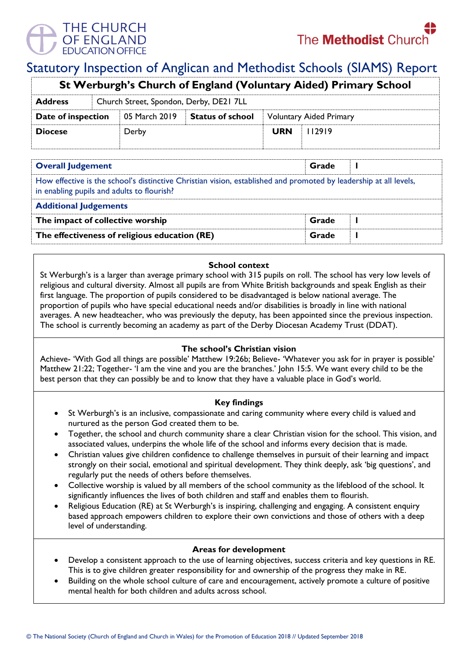

# Statutory Inspection of Anglican and Methodist Schools (SIAMS) Report

| St Werburgh's Church of England (Voluntary Aided) Primary School |                                         |               |                         |                                |        |  |  |
|------------------------------------------------------------------|-----------------------------------------|---------------|-------------------------|--------------------------------|--------|--|--|
| <b>Address</b>                                                   | Church Street, Spondon, Derby, DE21 7LL |               |                         |                                |        |  |  |
| Date of inspection                                               |                                         | 05 March 2019 | <b>Status of school</b> | <b>Voluntary Aided Primary</b> |        |  |  |
| <b>Diocese</b>                                                   |                                         | Derby         |                         | <b>URN</b>                     | 112919 |  |  |

| <b>Overall Judgement</b>                                                                                                                                        | Grade |  |  |  |  |  |
|-----------------------------------------------------------------------------------------------------------------------------------------------------------------|-------|--|--|--|--|--|
| How effective is the school's distinctive Christian vision, established and promoted by leadership at all levels,<br>in enabling pupils and adults to flourish? |       |  |  |  |  |  |
| <b>Additional Judgements</b>                                                                                                                                    |       |  |  |  |  |  |
| The impact of collective worship                                                                                                                                | Grade |  |  |  |  |  |
| The effectiveness of religious education (RE)                                                                                                                   | Grade |  |  |  |  |  |

### **School context**

St Werburgh's is a larger than average primary school with 315 pupils on roll. The school has very low levels of religious and cultural diversity. Almost all pupils are from White British backgrounds and speak English as their first language. The proportion of pupils considered to be disadvantaged is below national average. The proportion of pupils who have special educational needs and/or disabilities is broadly in line with national averages. A new headteacher, who was previously the deputy, has been appointed since the previous inspection. The school is currently becoming an academy as part of the Derby Diocesan Academy Trust (DDAT).

### **The school's Christian vision**

Achieve- 'With God all things are possible' Matthew 19:26b; Believe- 'Whatever you ask for in prayer is possible' Matthew 21:22; Together- 'I am the vine and you are the branches.' John 15:5. We want every child to be the best person that they can possibly be and to know that they have a valuable place in God's world.

### **Key findings**

- St Werburgh's is an inclusive, compassionate and caring community where every child is valued and nurtured as the person God created them to be.
- Together, the school and church community share a clear Christian vision for the school. This vision, and associated values, underpins the whole life of the school and informs every decision that is made.
- Christian values give children confidence to challenge themselves in pursuit of their learning and impact strongly on their social, emotional and spiritual development. They think deeply, ask 'big questions', and regularly put the needs of others before themselves.
- Collective worship is valued by all members of the school community as the lifeblood of the school. It significantly influences the lives of both children and staff and enables them to flourish.
- Religious Education (RE) at St Werburgh's is inspiring, challenging and engaging. A consistent enquiry based approach empowers children to explore their own convictions and those of others with a deep level of understanding.

### **Areas for development**

- Develop a consistent approach to the use of learning objectives, success criteria and key questions in RE. This is to give children greater responsibility for and ownership of the progress they make in RE.
- Building on the whole school culture of care and encouragement, actively promote a culture of positive mental health for both children and adults across school.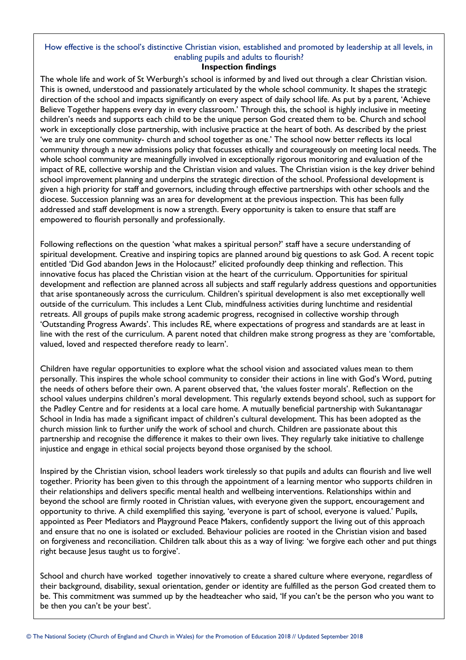## How effective is the school's distinctive Christian vision, established and promoted by leadership at all levels, in enabling pupils and adults to flourish?

#### **Inspection findings**

The whole life and work of St Werburgh's school is informed by and lived out through a clear Christian vision. This is owned, understood and passionately articulated by the whole school community. It shapes the strategic direction of the school and impacts significantly on every aspect of daily school life. As put by a parent, 'Achieve Believe Together happens every day in every classroom.' Through this, the school is highly inclusive in meeting children's needs and supports each child to be the unique person God created them to be. Church and school work in exceptionally close partnership, with inclusive practice at the heart of both. As described by the priest 'we are truly one community- church and school together as one.' The school now better reflects its local community through a new admissions policy that focusses ethically and courageously on meeting local needs. The whole school community are meaningfully involved in exceptionally rigorous monitoring and evaluation of the impact of RE, collective worship and the Christian vision and values. The Christian vision is the key driver behind school improvement planning and underpins the strategic direction of the school. Professional development is given a high priority for staff and governors, including through effective partnerships with other schools and the diocese. Succession planning was an area for development at the previous inspection. This has been fully addressed and staff development is now a strength. Every opportunity is taken to ensure that staff are empowered to flourish personally and professionally.

Following reflections on the question 'what makes a spiritual person?' staff have a secure understanding of spiritual development. Creative and inspiring topics are planned around big questions to ask God. A recent topic entitled 'Did God abandon Jews in the Holocaust?' elicited profoundly deep thinking and reflection. This innovative focus has placed the Christian vision at the heart of the curriculum. Opportunities for spiritual development and reflection are planned across all subjects and staff regularly address questions and opportunities that arise spontaneously across the curriculum. Children's spiritual development is also met exceptionally well outside of the curriculum. This includes a Lent Club, mindfulness activities during lunchtime and residential retreats. All groups of pupils make strong academic progress, recognised in collective worship through 'Outstanding Progress Awards'. This includes RE, where expectations of progress and standards are at least in line with the rest of the curriculum. A parent noted that children make strong progress as they are 'comfortable, valued, loved and respected therefore ready to learn'.

Children have regular opportunities to explore what the school vision and associated values mean to them personally. This inspires the whole school community to consider their actions in line with God's Word, putting the needs of others before their own. A parent observed that, 'the values foster morals'. Reflection on the school values underpins children's moral development. This regularly extends beyond school, such as support for the Padley Centre and for residents at a local care home. A mutually beneficial partnership with Sukantanagar School in India has made a significant impact of children's cultural development. This has been adopted as the church mission link to further unify the work of school and church. Children are passionate about this partnership and recognise the difference it makes to their own lives. They regularly take initiative to challenge injustice and engage in ethical social projects beyond those organised by the school.

Inspired by the Christian vision, school leaders work tirelessly so that pupils and adults can flourish and live well together. Priority has been given to this through the appointment of a learning mentor who supports children in their relationships and delivers specific mental health and wellbeing interventions. Relationships within and beyond the school are firmly rooted in Christian values, with everyone given the support, encouragement and opportunity to thrive. A child exemplified this saying, 'everyone is part of school, everyone is valued.' Pupils, appointed as Peer Mediators and Playground Peace Makers, confidently support the living out of this approach and ensure that no one is isolated or excluded. Behaviour policies are rooted in the Christian vision and based on forgiveness and reconciliation. Children talk about this as a way of living: 'we forgive each other and put things right because Jesus taught us to forgive'.

School and church have worked together innovatively to create a shared culture where everyone, regardless of their background, disability, sexual orientation, gender or identity are fulfilled as the person God created them to be. This commitment was summed up by the headteacher who said, 'If you can't be the person who you want to be then you can't be your best'.